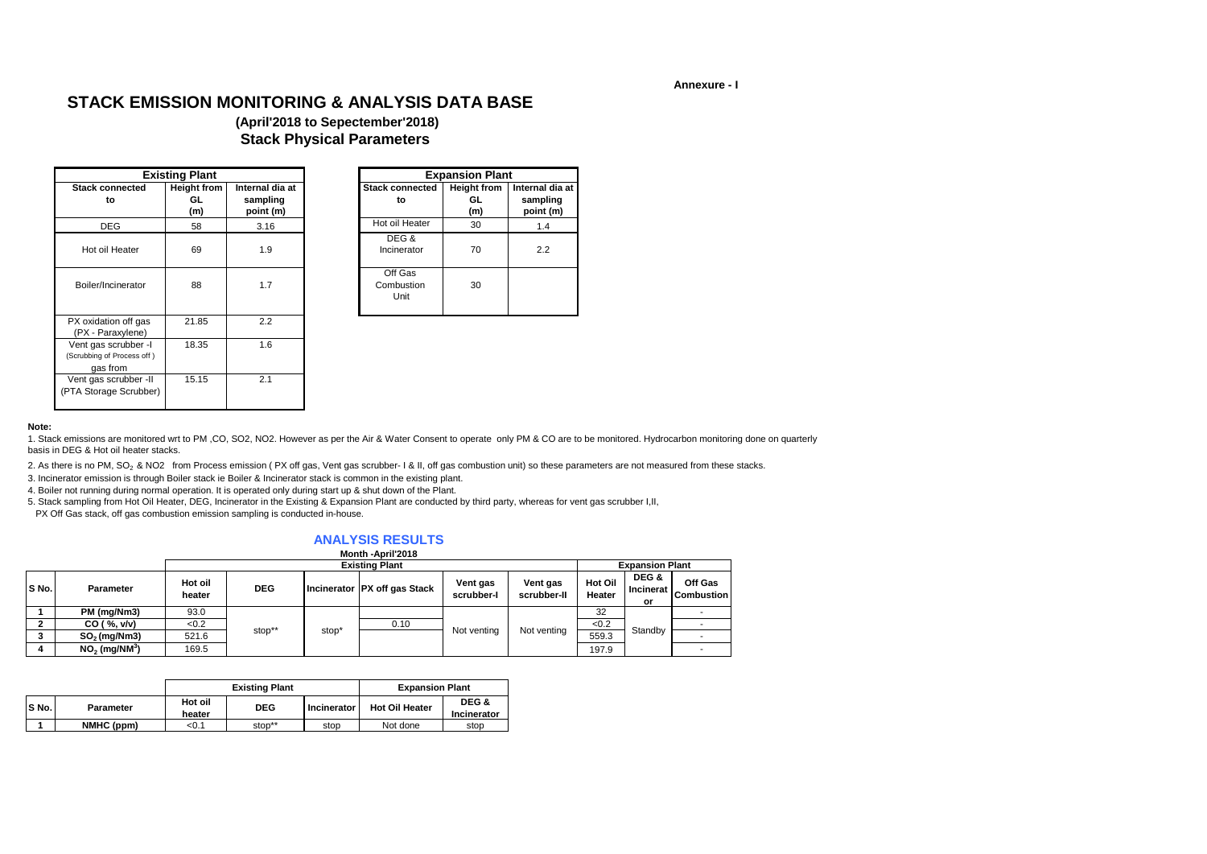**Annexure - I**

#### **Note:**

|                                                                | <b>Existing Plant</b>           |                                          |
|----------------------------------------------------------------|---------------------------------|------------------------------------------|
| <b>Stack connected</b><br>to                                   | <b>Height from</b><br>GL<br>(m) | Internal dia at<br>sampling<br>point (m) |
| <b>DEG</b>                                                     | 58                              | 3.16                                     |
| Hot oil Heater                                                 | 69                              | 1.9                                      |
| Boiler/Incinerator                                             | 88                              | 1.7                                      |
| PX oxidation off gas<br>(PX - Paraxylene)                      | 21.85                           | 2.2                                      |
| Vent gas scrubber -I<br>(Scrubbing of Process off)<br>gas from | 18.35                           | 1.6                                      |
| Vent gas scrubber - II<br>(PTA Storage Scrubber)               | 15.15                           | 2.1                                      |

|                | <b>Existing Plant</b>            |                                          |                               | <b>Expansion Plant</b>          |                                          |
|----------------|----------------------------------|------------------------------------------|-------------------------------|---------------------------------|------------------------------------------|
| onnected<br>to | <b>Height from</b><br>GL.<br>(m) | Internal dia at<br>sampling<br>point (m) | <b>Stack connected</b><br>to  | <b>Height from</b><br>GL<br>(m) | Internal dia at<br>sampling<br>point (m) |
| EG             | 58                               | 3.16                                     | Hot oil Heater                | 30                              | 1.4                                      |
| I Heater       | 69                               | 1.9                                      | DEG&<br>Incinerator           | 70                              | 2.2                                      |
| ncinerator     | 88                               | 1.7                                      | Off Gas<br>Combustion<br>Unit | 30                              |                                          |
|                |                                  |                                          |                               |                                 |                                          |

1. Stack emissions are monitored wrt to PM ,CO, SO2, NO2. However as per the Air & Water Consent to operate only PM & CO are to be monitored. Hydrocarbon monitoring done on quarterly basis in DEG & Hot oil heater stacks.

2. As there is no PM, SO<sub>2</sub> & NO2 from Process emission (PX off gas, Vent gas scrubber- I & II, off gas combustion unit) so these parameters are not measured from these stacks.

|       |                             |                   |            |                   | Month -April 2018              |                        |                         |                          |                                          |                                     |
|-------|-----------------------------|-------------------|------------|-------------------|--------------------------------|------------------------|-------------------------|--------------------------|------------------------------------------|-------------------------------------|
|       |                             |                   |            |                   | <b>Existing Plant</b>          |                        |                         |                          | <b>Expansion Plant</b>                   |                                     |
| S No. | <b>Parameter</b>            | Hot oil<br>heater | <b>DEG</b> |                   | Incinerator   PX off gas Stack | Vent gas<br>scrubber-I | Vent gas<br>scrubber-II | <b>Hot Oil</b><br>Heater | DEG &<br><b>Incinerat I</b><br><b>or</b> | <b>Off Gas</b><br><b>Combustion</b> |
|       | PM (mg/Nm3)                 | 93.0              |            |                   |                                |                        |                         | 32                       |                                          |                                     |
|       | CO ( %, v/v)                | < 0.2             |            |                   | 0.10                           |                        |                         | < 0.2                    |                                          |                                     |
|       | $SO2$ (mg/Nm3)              | 521.6             | stop**     | stop <sup>*</sup> |                                | Not venting            | Not venting             | 559.3                    | Standby                                  |                                     |
|       | $NO2$ (mg/NM <sup>3</sup> ) | 169.5             |            |                   |                                |                        |                         | 197.9                    |                                          |                                     |

3. Incinerator emission is through Boiler stack ie Boiler & Incinerator stack is common in the existing plant.

|       |                  | <b>Existing Plant</b><br><b>Expansion Plant</b> |            |                      |                       |                      |
|-------|------------------|-------------------------------------------------|------------|----------------------|-----------------------|----------------------|
| S No. | <b>Parameter</b> | Hot oil<br>heater                               | <b>DEG</b> | <b>Incinerator</b> I | <b>Hot Oil Heater</b> | DEG &<br>Incinerator |
|       | NMHC (ppm)       | < 0.1                                           | stop**     | stop                 | Not done              | stop                 |

#### **ANALYSIS RESULTS Month -April'2018**

# **STACK EMISSION MONITORING & ANALYSIS DATA BASE**

## **(April'2018 to Sepectember'2018) Stack Physical Parameters**

 PX Off Gas stack, off gas combustion emission sampling is conducted in-house. 5. Stack sampling from Hot Oil Heater, DEG, Incinerator in the Existing & Expansion Plant are conducted by third party, whereas for vent gas scrubber I,II,

4. Boiler not running during normal operation. It is operated only during start up & shut down of the Plant.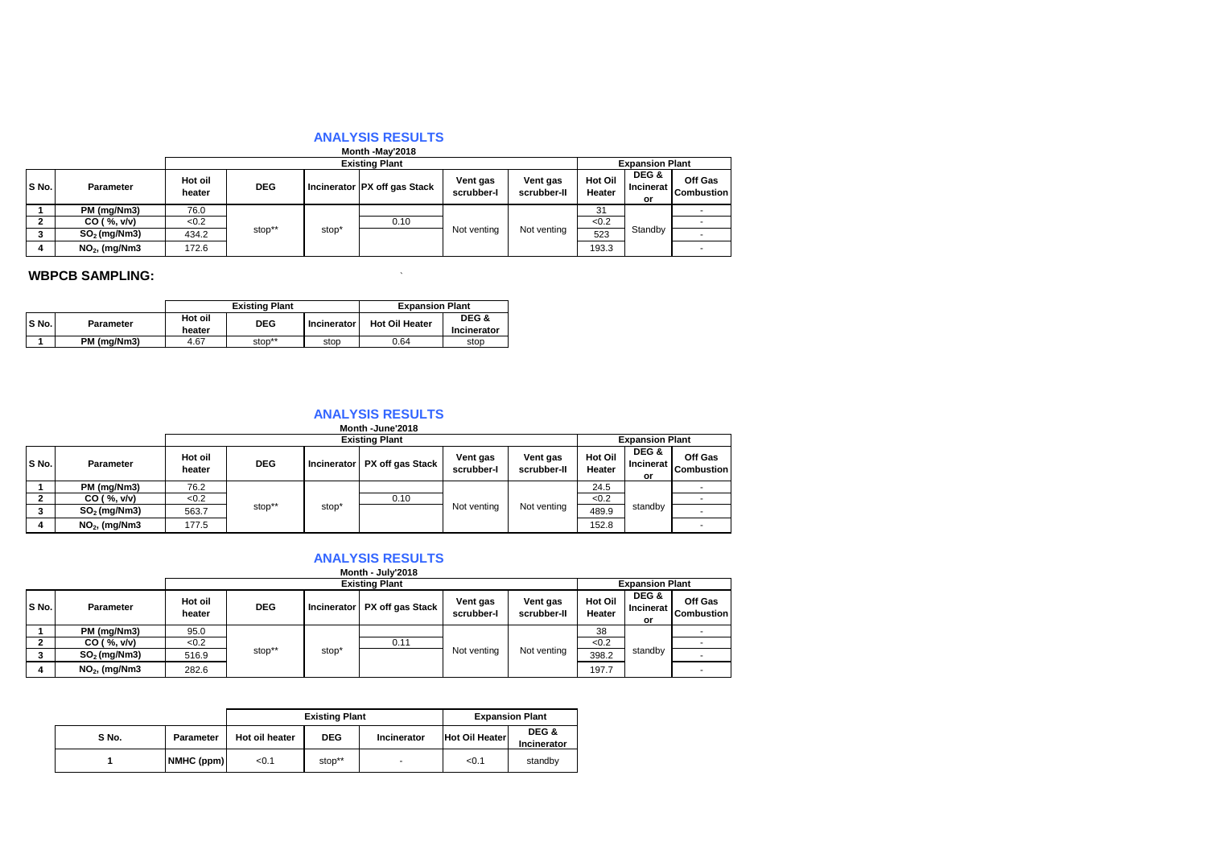|       | $11101111 - 11101$ |                   |            |       |                                |                        |                         |                                 |                                 |                              |  |  |
|-------|--------------------|-------------------|------------|-------|--------------------------------|------------------------|-------------------------|---------------------------------|---------------------------------|------------------------------|--|--|
|       |                    |                   |            |       | <b>Existing Plant</b>          |                        |                         | <b>Expansion Plant</b>          |                                 |                              |  |  |
| S No. | <b>Parameter</b>   | Hot oil<br>heater | <b>DEG</b> |       | Incinerator   PX off gas Stack | Vent gas<br>scrubber-I | Vent gas<br>scrubber-II | <b>Hot Oil</b><br><b>Heater</b> | DEG &<br><b>Incinerat</b><br>or | Off Gas<br><b>Combustion</b> |  |  |
|       | PM (mg/Nm3)        | 76.0              |            |       |                                |                        |                         | 31                              |                                 |                              |  |  |
|       | CO ( %, v/v)       | < 0.2             |            |       |                                | 0.10                   |                         |                                 | < 0.2                           |                              |  |  |
|       | $SO2$ (mg/Nm3)     | 434.2             | stop**     | stop' |                                | Not venting            | Not venting             | 523                             | Standby                         |                              |  |  |
| 4     | $NO2$ , (mg/Nm3    | 172.6             |            |       |                                |                        |                         | 193.3                           |                                 |                              |  |  |

## **WBPCB SAMPLING:**  $\qquad \qquad$

|       |                  | <b>Existing Plant</b><br><b>Expansion Plant</b> |            |             |                       |                             |
|-------|------------------|-------------------------------------------------|------------|-------------|-----------------------|-----------------------------|
| S No. | <b>Parameter</b> | Hot oil<br>heater                               | <b>DEG</b> | Incinerator | <b>Hot Oil Heater</b> | DEG &<br><b>Incinerator</b> |
|       | PM (mg/Nm3)      | 4.67                                            | stop**     | stop        | 0.64                  | stop                        |

|       |                 |                   |            |       | Month -June'2018               |                        |                         |                          |                                        |                              |
|-------|-----------------|-------------------|------------|-------|--------------------------------|------------------------|-------------------------|--------------------------|----------------------------------------|------------------------------|
|       |                 |                   |            |       | <b>Existing Plant</b>          |                        |                         |                          | <b>Expansion Plant</b>                 |                              |
| S No. | Parameter       | Hot oil<br>heater | <b>DEG</b> |       | Incinerator   PX off gas Stack | Vent gas<br>scrubber-I | Vent gas<br>scrubber-II | <b>Hot Oil</b><br>Heater | DEG &<br><b>Incinerat</b><br><b>or</b> | Off Gas<br><b>Combustion</b> |
|       | PM (mg/Nm3)     | 76.2              |            |       |                                |                        |                         | 24.5                     |                                        |                              |
|       | CO ( %, v/v)    | < 0.2             |            |       | 0.10                           |                        |                         | < 0.2                    |                                        |                              |
| 3     | $SO2$ (mg/Nm3)  | 563.7             | stop**     | stop* |                                | Not venting            | Not venting             | 489.9                    | standby                                |                              |
|       | $NO2$ , (mg/Nm3 | 177.5             |            |       |                                |                        |                         | 152.8                    |                                        |                              |

|         |                  |                   |            |                   | <b>Existing Plant</b>          |                        |                         | <b>Expansion Plant</b>   |                          |                                     |  |
|---------|------------------|-------------------|------------|-------------------|--------------------------------|------------------------|-------------------------|--------------------------|--------------------------|-------------------------------------|--|
| S No.   | <b>Parameter</b> | Hot oil<br>heater | <b>DEG</b> |                   | Incinerator   PX off gas Stack | Vent gas<br>scrubber-I | Vent gas<br>scrubber-II | <b>Hot Oil</b><br>Heater | DEG &<br>Incinerat<br>or | <b>Off Gas</b><br><b>Combustion</b> |  |
|         | PM (mg/Nm3)      | 95.0              |            |                   |                                |                        |                         | 38                       |                          |                                     |  |
|         | CO ( %, v/v)     | <0.2              |            |                   | 0.11                           |                        |                         | < 0.2                    |                          |                                     |  |
| ີ<br>J. | $SO2$ (mg/Nm3)   | 516.9             | stop**     | stop <sup>*</sup> |                                | Not venting            | Not venting             | 398.2                    | standby                  |                                     |  |
|         | $NO2$ , (mg/Nm3  | 282.6             |            |                   |                                |                        |                         | 197.7                    |                          |                                     |  |

#### **Month - July'2018**

|       |                  | <b>Expansion Plant</b><br><b>Existing Plant</b> |            |                    |                                                      |         |  |
|-------|------------------|-------------------------------------------------|------------|--------------------|------------------------------------------------------|---------|--|
| S No. | <b>Parameter</b> | Hot oil heater                                  | <b>DEG</b> | <b>Incinerator</b> | DEG &<br><b>Hot Oil Heater</b><br><b>Incinerator</b> |         |  |
|       | NMHC(ppm)        | < 0.1                                           | stop**     | -                  | < 0.1                                                | standby |  |

#### **ANALYSIS RESULTS**

#### **ANALYSIS RESULTS**

|  | . |                 |  |  |  |  |
|--|---|-----------------|--|--|--|--|
|  |   | Month -May'2018 |  |  |  |  |

### **ANALYSIS RESULTS**